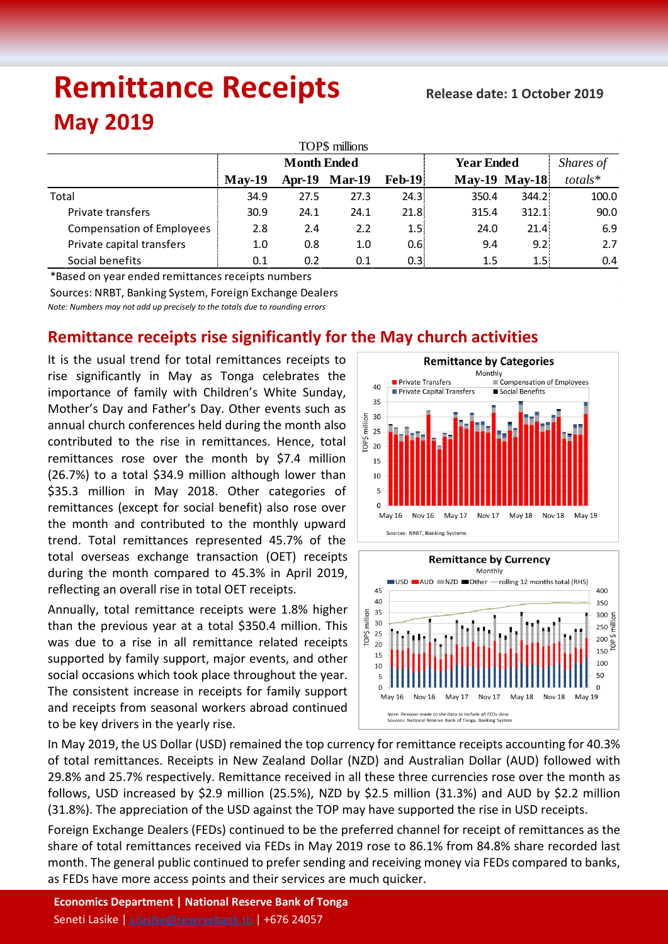# **Remittance Receipts May 2019**

| TOP\$ millions                   |                    |      |                      |                  |                   |                      |           |  |  |  |  |  |
|----------------------------------|--------------------|------|----------------------|------------------|-------------------|----------------------|-----------|--|--|--|--|--|
|                                  | <b>Month Ended</b> |      |                      |                  | <b>Year Ended</b> | Shares of            |           |  |  |  |  |  |
|                                  | $Mav-19$           |      | <b>Apr-19 Mar-19</b> | <b>Feb-19</b>    |                   | <b>May-19 May-18</b> | $totals*$ |  |  |  |  |  |
| Total                            | 34.9               | 27.5 | 27.3                 | 24.3:            | 350.4             | 344.2                | 100.0     |  |  |  |  |  |
| Private transfers                | 30.9               | 24.1 | 24.1                 | 21.8:            | 315.4             | 312.1                | 90.0      |  |  |  |  |  |
| <b>Compensation of Employees</b> | 2.8                | 2.4  | 2.2                  | 1.5 <sup>1</sup> | 24.0              | 21.4                 | 6.9       |  |  |  |  |  |
| Private capital transfers        | 1.0                | 0.8  | 1.0                  | 0.6:             | 9.4               | 9.2                  | 2.7       |  |  |  |  |  |
| Social benefits                  | 0.1                | 0.2  | 0.1                  | 0.3:             | 1.5               | 1.5                  | 0.4       |  |  |  |  |  |

\*Based on year ended remittances receipts numbers Sources: NRBT, Banking System, Foreign Exchange Dealers

*Note: Numbers may not add up precisely to the totals due to rounding errors*

# **Remittance receipts rise significantly for the May church activities**

It is the usual trend for total remittances receipts to rise significantly in May as Tonga celebrates the importance of family with Children's White Sunday, Mother's Day and Father's Day. Other events such as annual church conferences held during the month also contributed to the rise in remittances. Hence, total remittances rose over the month by \$7.4 million (26.7%) to a total \$34.9 million although lower than \$35.3 million in May 2018. Other categories of remittances (except for social benefit) also rose over the month and contributed to the monthly upward trend. Total remittances represented 45.7% of the total overseas exchange transaction (OET) receipts during the month compared to 45.3% in April 2019, reflecting an overall rise in total OET receipts.

Annually, total remittance receipts were 1.8% higher than the previous year at a total \$350.4 million. This was due to a rise in all remittance related receipts supported by family support, major events, and other social occasions which took place throughout the year. The consistent increase in receipts for family support and receipts from seasonal workers abroad continued to be key drivers in the yearly rise.





In May 2019, the US Dollar (USD) remained the top currency for remittance receipts accounting for 40.3% of total remittances. Receipts in New Zealand Dollar (NZD) and Australian Dollar (AUD) followed with 29.8% and 25.7% respectively. Remittance received in all these three currencies rose over the month as follows, USD increased by \$2.9 million (25.5%), NZD by \$2.5 million (31.3%) and AUD by \$2.2 million (31.8%). The appreciation of the USD against the TOP may have supported the rise in USD receipts.

Foreign Exchange Dealers (FEDs) continued to be the preferred channel for receipt of remittances as the share of total remittances received via FEDs in May 2019 rose to 86.1% from 84.8% share recorded last month. The general public continued to prefer sending and receiving money via FEDs compared to banks, as FEDs have more access points and their services are much quicker.